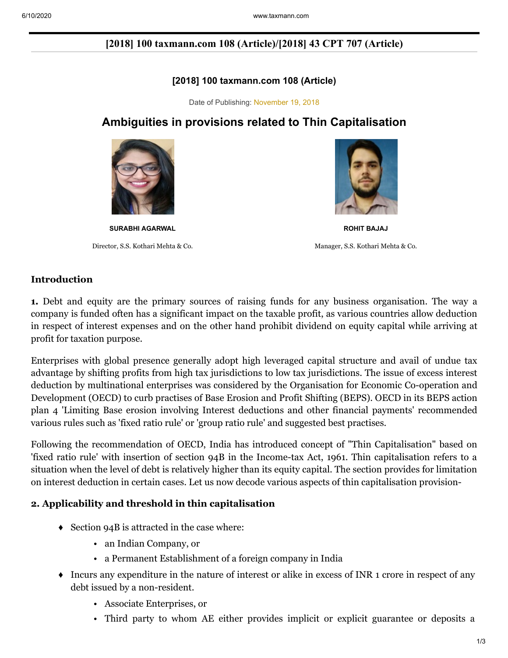# **[2018] 100 taxmann.com 108 (Article)/[2018] 43 CPT 707 (Article)**

## **[2018] 100 taxmann.com 108 (Article)**

Date of Publishing: November 19, 2018

# **Ambiguities in provisions related to Thin Capitalisation**



Director, S.S. Kothari Mehta & Co. Manager, S.S. Kothari Mehta & Co.



**SURABHI AGARWAL ROHIT BAJAJ**

#### **Introduction**

**1.** Debt and equity are the primary sources of raising funds for any business organisation. The way a company is funded often has a significant impact on the taxable profit, as various countries allow deduction in respect of interest expenses and on the other hand prohibit dividend on equity capital while arriving at profit for taxation purpose.

Enterprises with global presence generally adopt high leveraged capital structure and avail of undue tax advantage by shifting profits from high tax jurisdictions to low tax jurisdictions. The issue of excess interest deduction by multinational enterprises was considered by the Organisation for Economic Co-operation and Development (OECD) to curb practises of Base Erosion and Profit Shifting (BEPS). OECD in its BEPS action plan 4 'Limiting Base erosion involving Interest deductions and other financial payments' recommended various rules such as 'fixed ratio rule' or 'group ratio rule' and suggested best practises.

Following the recommendation of OECD, India has introduced concept of "Thin Capitalisation" based on 'fixed ratio rule' with insertion of section 94B in the Income-tax Act, 1961. Thin capitalisation refers to a situation when the level of debt is relatively higher than its equity capital. The section provides for limitation on interest deduction in certain cases. Let us now decode various aspects of thin capitalisation provision-

## **2. Applicability and threshold in thin capitalisation**

- $\triangleleft$  Section 94B is attracted in the case where:
	- an Indian Company, or
	- a Permanent Establishment of a foreign company in India
- ♦ Incurs any expenditure in the nature of interest or alike in excess of INR 1 crore in respect of any debt issued by a non-resident.
	- Associate Enterprises, or
	- Third party to whom AE either provides implicit or explicit guarantee or deposits a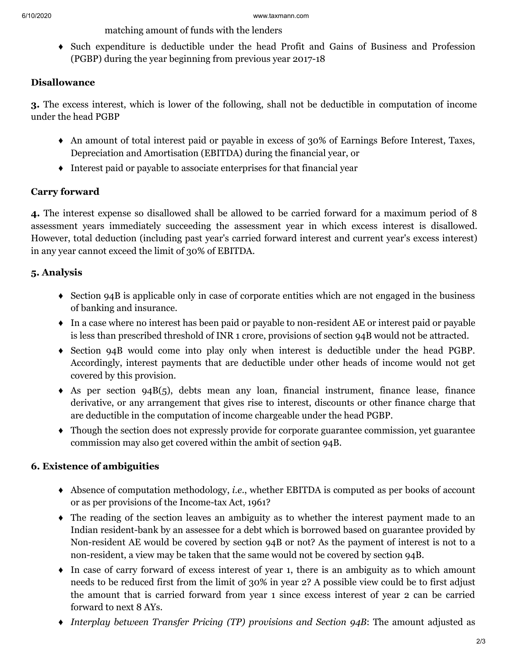matching amount of funds with the lenders

♦ Such expenditure is deductible under the head Profit and Gains of Business and Profession (PGBP) during the year beginning from previous year 2017-18

## **Disallowance**

**3.** The excess interest, which is lower of the following, shall not be deductible in computation of income under the head PGBP

- ♦ An amount of total interest paid or payable in excess of 30% of Earnings Before Interest, Taxes, Depreciation and Amortisation (EBITDA) during the financial year, or
- ♦ Interest paid or payable to associate enterprises for that financial year

# **Carry forward**

**4.** The interest expense so disallowed shall be allowed to be carried forward for a maximum period of 8 assessment years immediately succeeding the assessment year in which excess interest is disallowed. However, total deduction (including past year's carried forward interest and current year's excess interest) in any year cannot exceed the limit of 30% of EBITDA.

## **5. Analysis**

- ♦ Section 94B is applicable only in case of corporate entities which are not engaged in the business of banking and insurance.
- ♦ In a case where no interest has been paid or payable to non-resident AE or interest paid or payable is less than prescribed threshold of INR 1 crore, provisions of section 94B would not be attracted.
- ♦ Section 94B would come into play only when interest is deductible under the head PGBP. Accordingly, interest payments that are deductible under other heads of income would not get covered by this provision.
- ♦ As per section 94B(5), debts mean any loan, financial instrument, finance lease, finance derivative, or any arrangement that gives rise to interest, discounts or other finance charge that are deductible in the computation of income chargeable under the head PGBP.
- ♦ Though the section does not expressly provide for corporate guarantee commission, yet guarantee commission may also get covered within the ambit of section 94B.

# **6. Existence of ambiguities**

- ♦ Absence of computation methodology, *i.e*., whether EBITDA is computed as per books of account or as per provisions of the Income-tax Act, 1961?
- ♦ The reading of the section leaves an ambiguity as to whether the interest payment made to an Indian resident-bank by an assessee for a debt which is borrowed based on guarantee provided by Non-resident AE would be covered by section 94B or not? As the payment of interest is not to a non-resident, a view may be taken that the same would not be covered by section 94B.
- ♦ In case of carry forward of excess interest of year 1, there is an ambiguity as to which amount needs to be reduced first from the limit of 30% in year 2? A possible view could be to first adjust the amount that is carried forward from year 1 since excess interest of year 2 can be carried forward to next 8 AYs.
- ♦ *Interplay between Transfer Pricing (TP) provisions and Section 94B*: The amount adjusted as